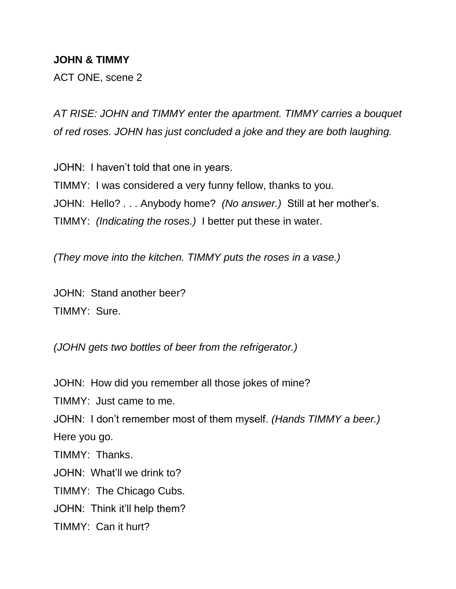## **JOHN & TIMMY**

ACT ONE, scene 2

*AT RISE: JOHN and TIMMY enter the apartment. TIMMY carries a bouquet of red roses. JOHN has just concluded a joke and they are both laughing.*

JOHN: I haven't told that one in years. TIMMY: I was considered a very funny fellow, thanks to you. JOHN: Hello? . . . Anybody home? *(No answer.)* Still at her mother's. TIMMY: *(Indicating the roses.)* I better put these in water.

*(They move into the kitchen. TIMMY puts the roses in a vase.)*

JOHN: Stand another beer? TIMMY: Sure.

*(JOHN gets two bottles of beer from the refrigerator.)*

JOHN: How did you remember all those jokes of mine?

TIMMY: Just came to me.

JOHN: I don't remember most of them myself. *(Hands TIMMY a beer.)*  Here you go.

TIMMY: Thanks.

JOHN: What'll we drink to?

TIMMY: The Chicago Cubs.

JOHN: Think it'll help them?

TIMMY: Can it hurt?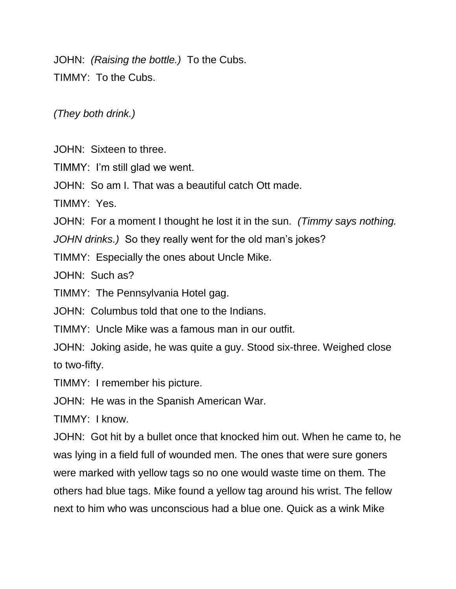JOHN: *(Raising the bottle.)* To the Cubs. TIMMY: To the Cubs.

*(They both drink.)*

JOHN: Sixteen to three.

TIMMY: I'm still glad we went.

JOHN: So am I. That was a beautiful catch Ott made.

TIMMY: Yes.

JOHN: For a moment I thought he lost it in the sun. *(Timmy says nothing.* 

*JOHN drinks.)* So they really went for the old man's jokes?

TIMMY: Especially the ones about Uncle Mike.

JOHN: Such as?

TIMMY: The Pennsylvania Hotel gag.

JOHN: Columbus told that one to the Indians.

TIMMY: Uncle Mike was a famous man in our outfit.

JOHN: Joking aside, he was quite a guy. Stood six-three. Weighed close to two-fifty.

TIMMY: I remember his picture.

JOHN: He was in the Spanish American War.

TIMMY: I know.

JOHN: Got hit by a bullet once that knocked him out. When he came to, he was lying in a field full of wounded men. The ones that were sure goners were marked with yellow tags so no one would waste time on them. The others had blue tags. Mike found a yellow tag around his wrist. The fellow next to him who was unconscious had a blue one. Quick as a wink Mike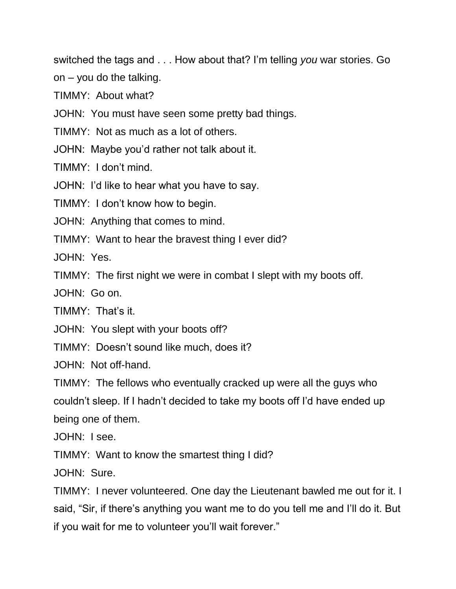switched the tags and . . . How about that? I'm telling *you* war stories. Go

on – you do the talking.

TIMMY: About what?

JOHN: You must have seen some pretty bad things.

TIMMY: Not as much as a lot of others.

JOHN: Maybe you'd rather not talk about it.

TIMMY: I don't mind.

JOHN: I'd like to hear what you have to say.

TIMMY: I don't know how to begin.

JOHN: Anything that comes to mind.

TIMMY: Want to hear the bravest thing I ever did?

JOHN: Yes.

TIMMY: The first night we were in combat I slept with my boots off.

JOHN: Go on.

TIMMY: That's it.

JOHN: You slept with your boots off?

TIMMY: Doesn't sound like much, does it?

JOHN: Not off-hand.

TIMMY: The fellows who eventually cracked up were all the guys who couldn't sleep. If I hadn't decided to take my boots off I'd have ended up being one of them.

JOHN: I see.

TIMMY: Want to know the smartest thing I did?

JOHN: Sure.

TIMMY: I never volunteered. One day the Lieutenant bawled me out for it. I said, "Sir, if there's anything you want me to do you tell me and I'll do it. But if you wait for me to volunteer you'll wait forever."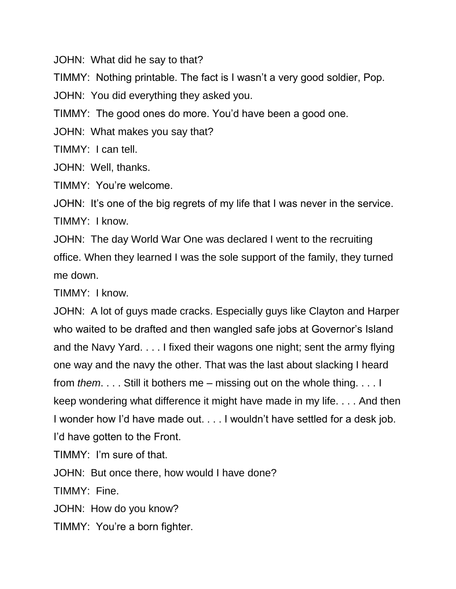JOHN: What did he say to that?

TIMMY: Nothing printable. The fact is I wasn't a very good soldier, Pop.

JOHN: You did everything they asked you.

TIMMY: The good ones do more. You'd have been a good one.

JOHN: What makes you say that?

TIMMY: I can tell.

JOHN: Well, thanks.

TIMMY: You're welcome.

JOHN: It's one of the big regrets of my life that I was never in the service. TIMMY: I know.

JOHN: The day World War One was declared I went to the recruiting office. When they learned I was the sole support of the family, they turned me down.

TIMMY: I know.

JOHN: A lot of guys made cracks. Especially guys like Clayton and Harper who waited to be drafted and then wangled safe jobs at Governor's Island and the Navy Yard. . . . I fixed their wagons one night; sent the army flying one way and the navy the other. That was the last about slacking I heard from *them*. . . . Still it bothers me – missing out on the whole thing. . . . I keep wondering what difference it might have made in my life. . . . And then I wonder how I'd have made out. . . . I wouldn't have settled for a desk job. I'd have gotten to the Front.

TIMMY: I'm sure of that.

JOHN: But once there, how would I have done?

TIMMY: Fine.

JOHN: How do you know?

TIMMY: You're a born fighter.